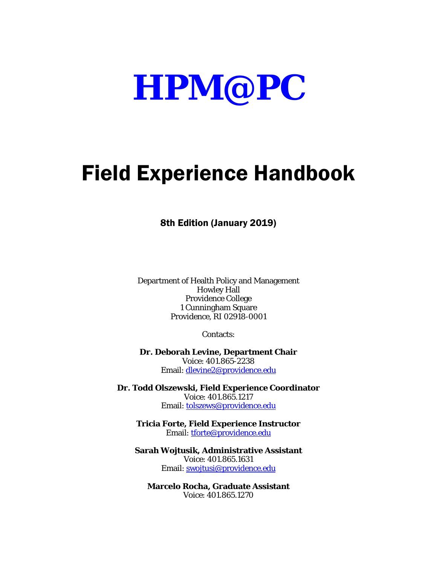

# Field Experience Handbook

8th Edition (January 2019)

Department of Health Policy and Management Howley Hall Providence College 1 Cunningham Square Providence, RI 02918-0001

Contacts:

**Dr. Deborah Levine, Department Chair** Voice: 401.865-2238 Email: [dlevine2@providence.edu](mailto:dlevine2@providence.edu)

**Dr. Todd Olszewski, Field Experience Coordinator** Voice: 401.865.1217 Email: [tolszews@providence.edu](mailto:tolszews@providence.edu)

**Tricia Forte, Field Experience Instructor** Email: [tforte@providence.edu](mailto:tforte@providence.edu)

**Sarah Wojtusik, Administrative Assistant** Voice: 401.865.1631 Email: [swojtusi@providence.edu](mailto:swojtusi@providence.edu)

**Marcelo Rocha, Graduate Assistant** Voice: 401.865.1270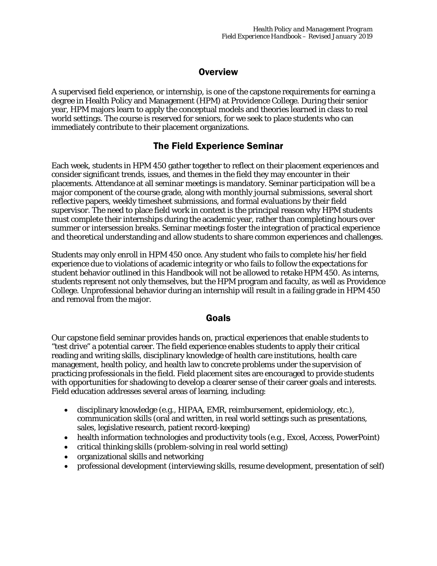## **Overview**

A supervised field experience, or internship, is one of the capstone requirements for earning a degree in Health Policy and Management (HPM) at Providence College. During their senior year, HPM majors learn to apply the conceptual models and theories learned in class to real world settings. The course is reserved for seniors, for we seek to place students who can immediately contribute to their placement organizations.

## The Field Experience Seminar

Each week, students in HPM 450 gather together to reflect on their placement experiences and consider significant trends, issues, and themes in the field they may encounter in their placements. Attendance at all seminar meetings is mandatory. Seminar participation will be a major component of the course grade, along with monthly journal submissions, several short reflective papers, weekly timesheet submissions, and formal evaluations by their field supervisor. The need to place field work in context is the principal reason why HPM students must complete their internships during the academic year, rather than completing hours over summer or intersession breaks. Seminar meetings foster the integration of practical experience and theoretical understanding and allow students to share common experiences and challenges.

Students may only enroll in HPM 450 once. Any student who fails to complete his/her field experience due to violations of academic integrity or who fails to follow the expectations for student behavior outlined in this Handbook will not be allowed to retake HPM 450. As interns, students represent not only themselves, but the HPM program and faculty, as well as Providence College. Unprofessional behavior during an internship will result in a failing grade in HPM 450 and removal from the major.

### Goals

Our capstone field seminar provides hands on, practical experiences that enable students to "test drive" a potential career. The field experience enables students to apply their critical reading and writing skills, disciplinary knowledge of health care institutions, health care management, health policy, and health law to concrete problems under the supervision of practicing professionals in the field. Field placement sites are encouraged to provide students with opportunities for shadowing to develop a clearer sense of their career goals and interests. Field education addresses several areas of learning, including:

- disciplinary knowledge (e.g., HIPAA, EMR, reimbursement, epidemiology, etc.), communication skills (oral and written, in real world settings such as presentations, sales, legislative research, patient record-keeping)
- health information technologies and productivity tools (e.g., Excel, Access, PowerPoint)
- critical thinking skills (problem-solving in real world setting)
- organizational skills and networking
- professional development (interviewing skills, resume development, presentation of self)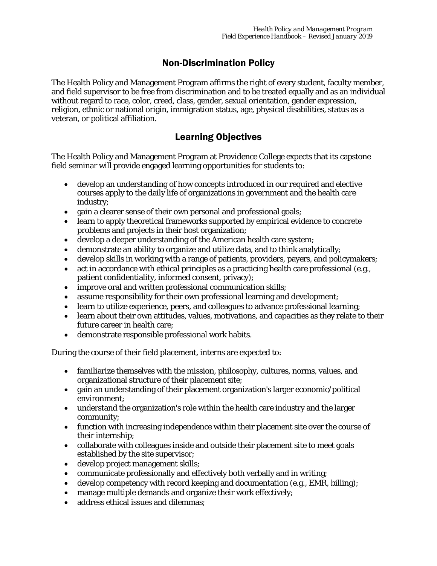# Non-Discrimination Policy

The Health Policy and Management Program affirms the right of every student, faculty member, and field supervisor to be free from discrimination and to be treated equally and as an individual without regard to race, color, creed, class, gender, sexual orientation, gender expression, religion, ethnic or national origin, immigration status, age, physical disabilities, status as a veteran, or political affiliation.

# Learning Objectives

The Health Policy and Management Program at Providence College expects that its capstone field seminar will provide engaged learning opportunities for students to:

- develop an understanding of how concepts introduced in our required and elective courses apply to the daily life of organizations in government and the health care industry;
- gain a clearer sense of their own personal and professional goals;
- learn to apply theoretical frameworks supported by empirical evidence to concrete problems and projects in their host organization;
- develop a deeper understanding of the American health care system;
- demonstrate an ability to organize and utilize data, and to think analytically;
- develop skills in working with a range of patients, providers, payers, and policymakers;
- act in accordance with ethical principles as a practicing health care professional (e.g., patient confidentiality, informed consent, privacy);
- improve oral and written professional communication skills;
- assume responsibility for their own professional learning and development;
- learn to utilize experience, peers, and colleagues to advance professional learning;
- learn about their own attitudes, values, motivations, and capacities as they relate to their future career in health care;
- demonstrate responsible professional work habits.

During the course of their field placement, interns are expected to:

- familiarize themselves with the mission, philosophy, cultures, norms, values, and organizational structure of their placement site;
- gain an understanding of their placement organization's larger economic/political environment;
- understand the organization's role within the health care industry and the larger community;
- function with increasing independence within their placement site over the course of their internship;
- collaborate with colleagues inside and outside their placement site to meet goals established by the site supervisor;
- develop project management skills;
- communicate professionally and effectively both verbally and in writing;
- develop competency with record keeping and documentation (e.g., EMR, billing);
- manage multiple demands and organize their work effectively;
- address ethical issues and dilemmas: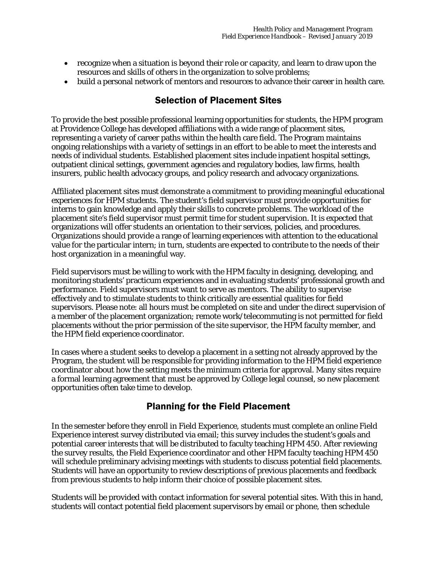- recognize when a situation is beyond their role or capacity, and learn to draw upon the resources and skills of others in the organization to solve problems;
- build a personal network of mentors and resources to advance their career in health care.

## Selection of Placement Sites

To provide the best possible professional learning opportunities for students, the HPM program at Providence College has developed affiliations with a wide range of placement sites, representing a variety of career paths within the health care field. The Program maintains ongoing relationships with a variety of settings in an effort to be able to meet the interests and needs of individual students. Established placement sites include inpatient hospital settings, outpatient clinical settings, government agencies and regulatory bodies, law firms, health insurers, public health advocacy groups, and policy research and advocacy organizations.

Affiliated placement sites must demonstrate a commitment to providing meaningful educational experiences for HPM students. The student's field supervisor must provide opportunities for interns to gain knowledge and apply their skills to concrete problems. The workload of the placement site's field supervisor must permit time for student supervision. It is expected that organizations will offer students an orientation to their services, policies, and procedures. Organizations should provide a range of learning experiences with attention to the educational value for the particular intern; in turn, students are expected to contribute to the needs of their host organization in a meaningful way.

Field supervisors must be willing to work with the HPM faculty in designing, developing, and monitoring students' practicum experiences and in evaluating students' professional growth and performance. Field supervisors must want to serve as mentors. The ability to supervise effectively and to stimulate students to think critically are essential qualities for field supervisors. Please note: all hours must be completed on site and under the direct supervision of a member of the placement organization; remote work/telecommuting is not permitted for field placements without the prior permission of the site supervisor, the HPM faculty member, and the HPM field experience coordinator.

In cases where a student seeks to develop a placement in a setting not already approved by the Program, the student will be responsible for providing information to the HPM field experience coordinator about how the setting meets the minimum criteria for approval. Many sites require a formal learning agreement that must be approved by College legal counsel, so new placement opportunities often take time to develop.

# Planning for the Field Placement

In the semester before they enroll in Field Experience, students must complete an online Field Experience interest survey distributed via email; this survey includes the student's goals and potential career interests that will be distributed to faculty teaching HPM 450. After reviewing the survey results, the Field Experience coordinator and other HPM faculty teaching HPM 450 will schedule preliminary advising meetings with students to discuss potential field placements. Students will have an opportunity to review descriptions of previous placements and feedback from previous students to help inform their choice of possible placement sites.

Students will be provided with contact information for several potential sites. With this in hand, students will contact potential field placement supervisors by email or phone, then schedule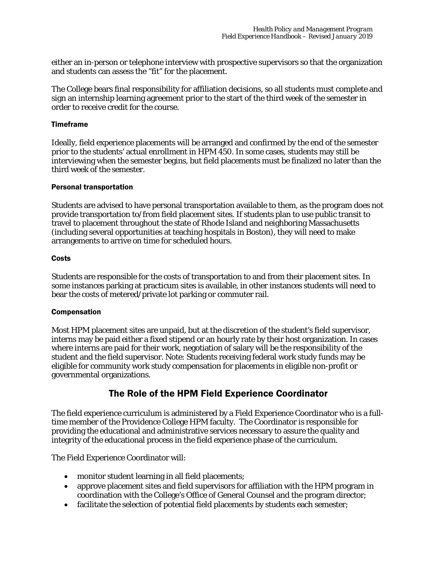either an in-person or telephone interview with prospective supervisors so that the organization and students can assess the "fit" for the placement.

The College bears final responsibility for affiliation decisions, so all students must complete and sign an internship learning agreement prior to the start of the third week of the semester in order to receive credit for the course.

#### Timeframe

Ideally, field experience placements will be arranged and confirmed by the end of the semester prior to the students' actual enrollment in HPM 450. In some cases, students may still be interviewing when the semester begins, but field placements must be finalized no later than the third week of the semester.

#### Personal transportation

Students are advised to have personal transportation available to them, as the program does not provide transportation to/from field placement sites. If students plan to use public transit to travel to placement throughout the state of Rhode Island and neighboring Massachusetts (including several opportunities at teaching hospitals in Boston), they will need to make arrangements to arrive on time for scheduled hours.

#### **Costs**

Students are responsible for the costs of transportation to and from their placement sites. In some instances parking at practicum sites is available, in other instances students will need to bear the costs of metered/private lot parking or commuter rail.

#### Compensation

Most HPM placement sites are unpaid, but at the discretion of the student's field supervisor, interns may be paid either a fixed stipend or an hourly rate by their host organization. In cases where interns are paid for their work, negotiation of salary will be the responsibility of the student and the field supervisor. Note: Students receiving federal work study funds may be eligible for community work study compensation for placements in eligible non-profit or governmental organizations.

## The Role of the HPM Field Experience Coordinator

The field experience curriculum is administered by a Field Experience Coordinator who is a fulltime member of the Providence College HPM faculty. The Coordinator is responsible for providing the educational and administrative services necessary to assure the quality and integrity of the educational process in the field experience phase of the curriculum.

The Field Experience Coordinator will:

- monitor student learning in all field placements;
- approve placement sites and field supervisors for affiliation with the HPM program in coordination with the College's Office of General Counsel and the program director;
- facilitate the selection of potential field placements by students each semester;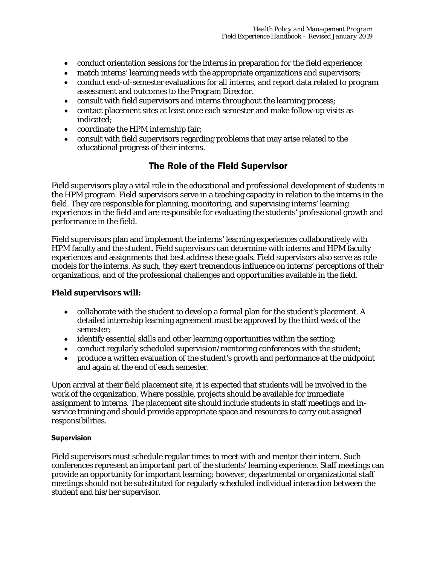- conduct orientation sessions for the interns in preparation for the field experience;
- match interns' learning needs with the appropriate organizations and supervisors;
- conduct end-of-semester evaluations for all interns, and report data related to program assessment and outcomes to the Program Director.
- consult with field supervisors and interns throughout the learning process;
- contact placement sites at least once each semester and make follow-up visits as indicated;
- coordinate the HPM internship fair;
- consult with field supervisors regarding problems that may arise related to the educational progress of their interns.

## The Role of the Field Supervisor

Field supervisors play a vital role in the educational and professional development of students in the HPM program. Field supervisors serve in a teaching capacity in relation to the interns in the field. They are responsible for planning, monitoring, and supervising interns' learning experiences in the field and are responsible for evaluating the students' professional growth and performance in the field.

Field supervisors plan and implement the interns' learning experiences collaboratively with HPM faculty and the student. Field supervisors can determine with interns and HPM faculty experiences and assignments that best address these goals. Field supervisors also serve as role models for the interns. As such, they exert tremendous influence on interns' perceptions of their organizations, and of the professional challenges and opportunities available in the field.

#### **Field supervisors will:**

- collaborate with the student to develop a formal plan for the student's placement. A detailed internship learning agreement must be approved by the third week of the semester;
- identify essential skills and other learning opportunities within the setting;
- conduct regularly scheduled supervision/mentoring conferences with the student;
- produce a written evaluation of the student's growth and performance at the midpoint and again at the end of each semester.

Upon arrival at their field placement site, it is expected that students will be involved in the work of the organization. Where possible, projects should be available for immediate assignment to interns. The placement site should include students in staff meetings and inservice training and should provide appropriate space and resources to carry out assigned responsibilities.

#### Supervision

Field supervisors must schedule regular times to meet with and mentor their intern. Such conferences represent an important part of the students' learning experience. Staff meetings can provide an opportunity for important learning; however, departmental or organizational staff meetings should not be substituted for regularly scheduled individual interaction between the student and his/her supervisor.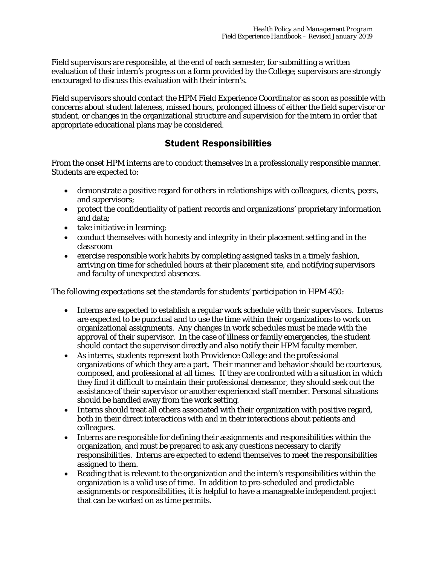Field supervisors are responsible, at the end of each semester, for submitting a written evaluation of their intern's progress on a form provided by the College; supervisors are strongly encouraged to discuss this evaluation with their intern's.

Field supervisors should contact the HPM Field Experience Coordinator as soon as possible with concerns about student lateness, missed hours, prolonged illness of either the field supervisor or student, or changes in the organizational structure and supervision for the intern in order that appropriate educational plans may be considered.

## Student Responsibilities

From the onset HPM interns are to conduct themselves in a professionally responsible manner. Students are expected to:

- demonstrate a positive regard for others in relationships with colleagues, clients, peers, and supervisors;
- protect the confidentiality of patient records and organizations' proprietary information and data;
- take initiative in learning;
- conduct themselves with honesty and integrity in their placement setting and in the classroom
- exercise responsible work habits by completing assigned tasks in a timely fashion, arriving on time for scheduled hours at their placement site, and notifying supervisors and faculty of unexpected absences.

The following expectations set the standards for students' participation in HPM 450:

- Interns are expected to establish a regular work schedule with their supervisors. Interns are expected to be punctual and to use the time within their organizations to work on organizational assignments. Any changes in work schedules must be made with the approval of their supervisor. In the case of illness or family emergencies, the student should contact the supervisor directly and also notify their HPM faculty member.
- As interns, students represent both Providence College and the professional organizations of which they are a part. Their manner and behavior should be courteous, composed, and professional at all times. If they are confronted with a situation in which they find it difficult to maintain their professional demeanor, they should seek out the assistance of their supervisor or another experienced staff member. Personal situations should be handled away from the work setting.
- Interns should treat all others associated with their organization with positive regard, both in their direct interactions with and in their interactions about patients and colleagues.
- Interns are responsible for defining their assignments and responsibilities within the organization, and must be prepared to ask any questions necessary to clarify responsibilities. Interns are expected to extend themselves to meet the responsibilities assigned to them.
- Reading that is relevant to the organization and the intern's responsibilities within the organization is a valid use of time. In addition to pre-scheduled and predictable assignments or responsibilities, it is helpful to have a manageable independent project that can be worked on as time permits.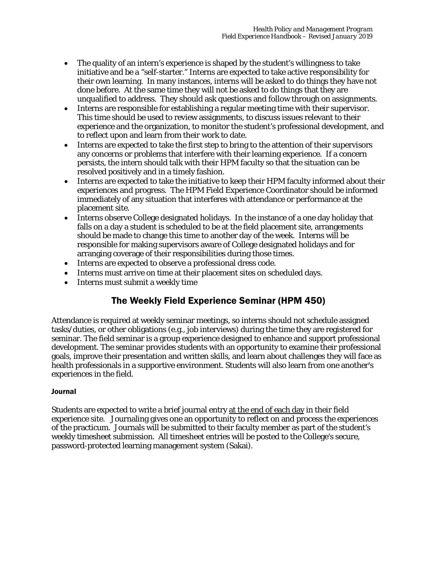- The quality of an intern's experience is shaped by the student's willingness to take initiative and be a "self-starter." Interns are expected to take active responsibility for their own learning. In many instances, interns will be asked to do things they have not done before. At the same time they will not be asked to do things that they are unqualified to address. They should ask questions and follow through on assignments.
- Interns are responsible for establishing a regular meeting time with their supervisor. This time should be used to review assignments, to discuss issues relevant to their experience and the organization, to monitor the student's professional development, and to reflect upon and learn from their work to date.
- Interns are expected to take the first step to bring to the attention of their supervisors any concerns or problems that interfere with their learning experience. If a concern persists, the intern should talk with their HPM faculty so that the situation can be resolved positively and in a timely fashion.
- Interns are expected to take the initiative to keep their HPM faculty informed about their experiences and progress. The HPM Field Experience Coordinator should be informed immediately of any situation that interferes with attendance or performance at the placement site.
- Interns observe College designated holidays. In the instance of a one day holiday that falls on a day a student is scheduled to be at the field placement site, arrangements should be made to change this time to another day of the week. Interns will be responsible for making supervisors aware of College designated holidays and for arranging coverage of their responsibilities during those times.
- Interns are expected to observe a professional dress code.
- Interns must arrive on time at their placement sites on scheduled days.
- Interns must submit a weekly time

# The Weekly Field Experience Seminar (HPM 450)

Attendance is required at weekly seminar meetings, so interns should not schedule assigned tasks/duties, or other obligations (e.g., job interviews) during the time they are registered for seminar. The field seminar is a group experience designed to enhance and support professional development. The seminar provides students with an opportunity to examine their professional goals, improve their presentation and written skills, and learn about challenges they will face as health professionals in a supportive environment. Students will also learn from one another's experiences in the field.

#### Journal

Students are expected to write a brief journal entry at the end of each day in their field experience site. Journaling gives one an opportunity to reflect on and process the experiences of the practicum. Journals will be submitted to their faculty member as part of the student's weekly timesheet submission. All timesheet entries will be posted to the College's secure, password-protected learning management system (Sakai).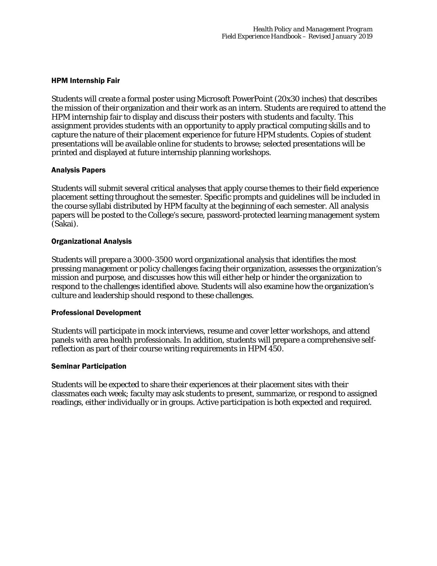#### HPM Internship Fair

Students will create a formal poster using Microsoft PowerPoint (20x30 inches) that describes the mission of their organization and their work as an intern. Students are required to attend the HPM internship fair to display and discuss their posters with students and faculty. This assignment provides students with an opportunity to apply practical computing skills and to capture the nature of their placement experience for future HPM students. Copies of student presentations will be available online for students to browse; selected presentations will be printed and displayed at future internship planning workshops.

#### Analysis Papers

Students will submit several critical analyses that apply course themes to their field experience placement setting throughout the semester. Specific prompts and guidelines will be included in the course syllabi distributed by HPM faculty at the beginning of each semester. All analysis papers will be posted to the College's secure, password-protected learning management system (Sakai).

#### Organizational Analysis

Students will prepare a 3000-3500 word organizational analysis that identifies the most pressing management or policy challenges facing their organization, assesses the organization's mission and purpose, and discusses how this will either help or hinder the organization to respond to the challenges identified above. Students will also examine how the organization's culture and leadership should respond to these challenges.

#### Professional Development

Students will participate in mock interviews, resume and cover letter workshops, and attend panels with area health professionals. In addition, students will prepare a comprehensive selfreflection as part of their course writing requirements in HPM 450.

#### Seminar Participation

Students will be expected to share their experiences at their placement sites with their classmates each week; faculty may ask students to present, summarize, or respond to assigned readings, either individually or in groups. Active participation is both expected and required.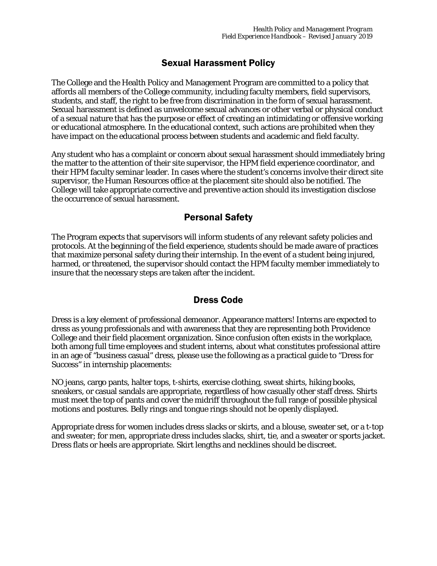## Sexual Harassment Policy

The College and the Health Policy and Management Program are committed to a policy that affords all members of the College community, including faculty members, field supervisors, students, and staff, the right to be free from discrimination in the form of sexual harassment. Sexual harassment is defined as unwelcome sexual advances or other verbal or physical conduct of a sexual nature that has the purpose or effect of creating an intimidating or offensive working or educational atmosphere. In the educational context, such actions are prohibited when they have impact on the educational process between students and academic and field faculty.

Any student who has a complaint or concern about sexual harassment should immediately bring the matter to the attention of their site supervisor, the HPM field experience coordinator, and their HPM faculty seminar leader. In cases where the student's concerns involve their direct site supervisor, the Human Resources office at the placement site should also be notified. The College will take appropriate corrective and preventive action should its investigation disclose the occurrence of sexual harassment.

# Personal Safety

The Program expects that supervisors will inform students of any relevant safety policies and protocols. At the beginning of the field experience, students should be made aware of practices that maximize personal safety during their internship. In the event of a student being injured, harmed, or threatened, the supervisor should contact the HPM faculty member immediately to insure that the necessary steps are taken after the incident.

# Dress Code

Dress is a key element of professional demeanor. Appearance matters! Interns are expected to dress as young professionals and with awareness that they are representing both Providence College and their field placement organization. Since confusion often exists in the workplace, both among full time employees and student interns, about what constitutes professional attire in an age of "business casual" dress, please use the following as a practical guide to "Dress for Success" in internship placements:

NO jeans, cargo pants, halter tops, t-shirts, exercise clothing, sweat shirts, hiking books, sneakers, or casual sandals are appropriate, regardless of how casually other staff dress. Shirts must meet the top of pants and cover the midriff throughout the full range of possible physical motions and postures. Belly rings and tongue rings should not be openly displayed.

Appropriate dress for women includes dress slacks or skirts, and a blouse, sweater set, or a t-top and sweater; for men, appropriate dress includes slacks, shirt, tie, and a sweater or sports jacket. Dress flats or heels are appropriate. Skirt lengths and necklines should be discreet.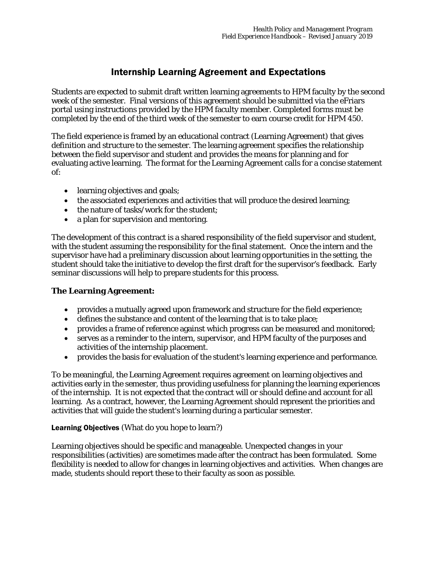# Internship Learning Agreement and Expectations

Students are expected to submit draft written learning agreements to HPM faculty by the second week of the semester. Final versions of this agreement should be submitted via the eFriars portal using instructions provided by the HPM faculty member. Completed forms must be completed by the end of the third week of the semester to earn course credit for HPM 450.

The field experience is framed by an educational contract (Learning Agreement) that gives definition and structure to the semester. The learning agreement specifies the relationship between the field supervisor and student and provides the means for planning and for evaluating active learning. The format for the Learning Agreement calls for a concise statement of:

- learning objectives and goals;
- the associated experiences and activities that will produce the desired learning;
- the nature of tasks/work for the student;
- a plan for supervision and mentoring.

The development of this contract is a shared responsibility of the field supervisor and student, with the student assuming the responsibility for the final statement. Once the intern and the supervisor have had a preliminary discussion about learning opportunities in the setting, the student should take the initiative to develop the first draft for the supervisor's feedback. Early seminar discussions will help to prepare students for this process.

#### **The Learning Agreement:**

- provides a mutually agreed upon framework and structure for the field experience;
- defines the substance and content of the learning that is to take place;
- provides a frame of reference against which progress can be measured and monitored;
- serves as a reminder to the intern, supervisor, and HPM faculty of the purposes and activities of the internship placement.
- provides the basis for evaluation of the student's learning experience and performance.

To be meaningful, the Learning Agreement requires agreement on learning objectives and activities early in the semester, thus providing usefulness for planning the learning experiences of the internship. It is not expected that the contract will or should define and account for all learning. As a contract, however, the Learning Agreement should represent the priorities and activities that will guide the student's learning during a particular semester.

#### Learning Objectives (What do you hope to learn?)

Learning objectives should be specific and manageable. Unexpected changes in your responsibilities (activities) are sometimes made after the contract has been formulated. Some flexibility is needed to allow for changes in learning objectives and activities. When changes are made, students should report these to their faculty as soon as possible.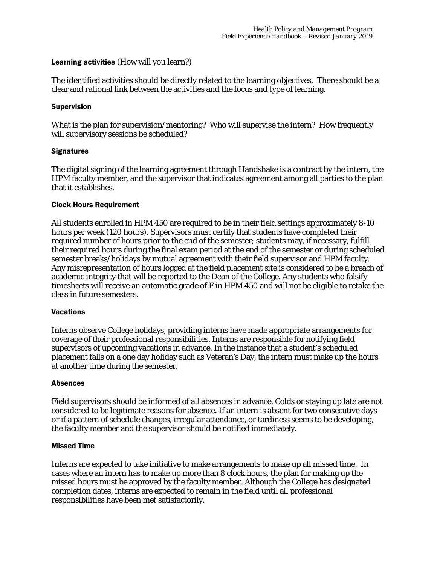#### Learning activities (How will you learn?)

The identified activities should be directly related to the learning objectives. There should be a clear and rational link between the activities and the focus and type of learning.

#### Supervision

What is the plan for supervision/mentoring? Who will supervise the intern? How frequently will supervisory sessions be scheduled?

#### **Signatures**

The digital signing of the learning agreement through Handshake is a contract by the intern, the HPM faculty member, and the supervisor that indicates agreement among all parties to the plan that it establishes.

#### Clock Hours Requirement

All students enrolled in HPM 450 are required to be in their field settings approximately 8-10 hours per week (120 hours). Supervisors must certify that students have completed their required number of hours prior to the end of the semester; students may, if necessary, fulfill their required hours during the final exam period at the end of the semester or during scheduled semester breaks/holidays by mutual agreement with their field supervisor and HPM faculty. Any misrepresentation of hours logged at the field placement site is considered to be a breach of academic integrity that will be reported to the Dean of the College. Any students who falsify timesheets will receive an automatic grade of F in HPM 450 and will not be eligible to retake the class in future semesters.

#### **Vacations**

Interns observe College holidays, providing interns have made appropriate arrangements for coverage of their professional responsibilities. Interns are responsible for notifying field supervisors of upcoming vacations in advance. In the instance that a student's scheduled placement falls on a one day holiday such as Veteran's Day, the intern must make up the hours at another time during the semester.

#### Absences

Field supervisors should be informed of all absences in advance. Colds or staying up late are not considered to be legitimate reasons for absence. If an intern is absent for two consecutive days or if a pattern of schedule changes, irregular attendance, or tardiness seems to be developing, the faculty member and the supervisor should be notified immediately.

#### Missed Time

Interns are expected to take initiative to make arrangements to make up all missed time. In cases where an intern has to make up more than 8 clock hours, the plan for making up the missed hours must be approved by the faculty member. Although the College has designated completion dates, interns are expected to remain in the field until all professional responsibilities have been met satisfactorily.